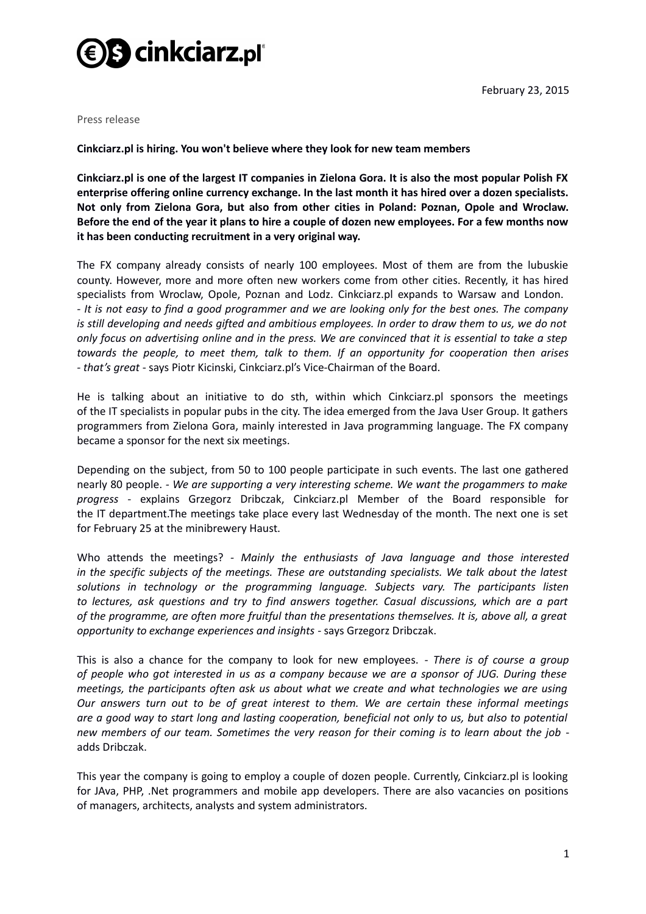

February 23, 2015

Press release

**Cinkciarz.pl is hiring. You won't believe where they look for new team members**

**Cinkciarz.pl is one of the largest IT companies in Zielona Gora. It is also the most popular Polish FX enterprise offering online currency exchange. In the last month it has hired over a dozen specialists. Not only from Zielona Gora, but also from other cities in Poland: Poznan, Opole and Wroclaw. Before the end of the year it plans to hire a couple of dozen new employees. For a few months now it has been conducting recruitment in a very original way.**

The FX company already consists of nearly 100 employees. Most of them are from the lubuskie county. However, more and more often new workers come from other cities. Recently, it has hired specialists from Wroclaw, Opole, Poznan and Lodz. Cinkciarz.pl expands to Warsaw and London. *- It is not easy to find a good programmer and we are looking only for the best ones. The company is still developing and needs gifted and ambitious employees. In order to draw them to us, we do not only focus on advertising online and in the press. We are convinced that it is essential to take a step towards the people, to meet them, talk to them. If an opportunity for cooperation then arises - that's great* - says Piotr Kicinski, Cinkciarz.pl's Vice-Chairman of the Board.

He is talking about an initiative to do sth, within which Cinkciarz.pl sponsors the meetings of the IT specialists in popular pubs in the city. The idea emerged from the Java User Group. It gathers programmers from Zielona Gora, mainly interested in Java programming language. The FX company became a sponsor for the next six meetings.

Depending on the subject, from 50 to 100 people participate in such events. The last one gathered nearly 80 people. *- We are supporting a very interesting scheme. We want the progammers to make progress* - explains Grzegorz Dribczak, Cinkciarz.pl Member of the Board responsible for the IT department.The meetings take place every last Wednesday of the month. The next one is set for February 25 at the minibrewery Haust.

Who attends the meetings? *- Mainly the enthusiasts of Java language and those interested in the specific subjects of the meetings. These are outstanding specialists. We talk about the latest solutions in technology or the programming language. Subjects vary. The participants listen to lectures, ask questions and try to find answers together. Casual discussions, which are a part of the programme, are often more fruitful than the presentations themselves. It is, above all, a great opportunity to exchange experiences and insights* - says Grzegorz Dribczak.

This is also a chance for the company to look for new employees. *- There is of course a group of people who got interested in us as a company because we are a sponsor of JUG. During these meetings, the participants often ask us about what we create and what technologies we are using Our answers turn out to be of great interest to them. We are certain these informal meetings are a good way to start long and lasting cooperation, beneficial not only to us, but also to potential new members of our team. Sometimes the very reason for their coming is to learn about the job* adds Dribczak.

This year the company is going to employ a couple of dozen people. Currently, Cinkciarz.pl is looking for JAva, PHP, .Net programmers and mobile app developers. There are also vacancies on positions of managers, architects, analysts and system administrators.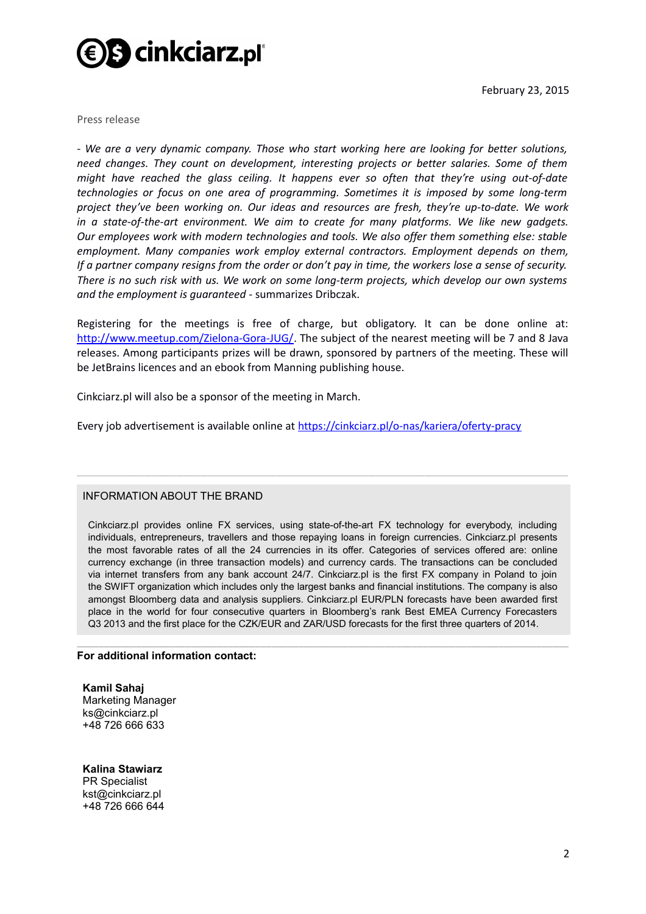

February 23, 2015

Press release

*- We are a very dynamic company. Those who start working here are looking for better solutions, need changes. They count on development, interesting projects or better salaries. Some of them might have reached the glass ceiling. It happens ever so often that they're using out-of-date technologies or focus on one area of programming. Sometimes it is imposed by some long-term project they've been working on. Our ideas and resources are fresh, they're up-to-date. We work in a state-of-the-art environment. We aim to create for many platforms. We like new gadgets. Our employees work with modern technologies and tools. We also offer them something else: stable employment. Many companies work employ external contractors. Employment depends on them, If a partner company resigns from the order or don't pay in time, the workers lose a sense of security. There is no such risk with us. We work on some long-term projects, which develop our own systems and the employment is guaranteed* - summarizes Dribczak.

Registering for the meetings is free of charge, but obligatory. It can be done online at: [http://www.meetup.com/Zielona-Gora-JUG/.](http://www.meetup.com/Zielona-Gora-JUG/) The subject of the nearest meeting will be 7 and 8 Java releases. Among participants prizes will be drawn, sponsored by partners of the meeting. These will be JetBrains licences and an ebook from Manning publishing house.

Cinkciarz.pl will also be a sponsor of the meeting in March.

Every job advertisement is available online at<https://cinkciarz.pl/o-nas/kariera/oferty-pracy>

## INFORMATION ABOUT THE BRAND

Cinkciarz.pl provides online FX services, using state-of-the-art FX technology for everybody, including individuals, entrepreneurs, travellers and those repaying loans in foreign currencies. Cinkciarz.pl presents the most favorable rates of all the 24 currencies in its offer. Categories of services offered are: online currency exchange (in three transaction models) and currency cards. The transactions can be concluded via internet transfers from any bank account 24/7. Cinkciarz.pl is the first FX company in Poland to join the SWIFT organization which includes only the largest banks and financial institutions. The company is also amongst Bloomberg data and analysis suppliers. Cinkciarz.pl EUR/PLN forecasts have been awarded first place in the world for four consecutive quarters in Bloomberg's rank Best EMEA Currency Forecasters Q3 2013 and the first place for the CZK/EUR and ZAR/USD forecasts for the first three quarters of 2014.

 $\_$  , and the set of the set of the set of the set of the set of the set of the set of the set of the set of the set of the set of the set of the set of the set of the set of the set of the set of the set of the set of th

\_\_\_\_\_\_\_\_\_\_\_\_\_\_\_\_\_\_\_\_\_\_\_\_\_\_\_\_\_\_\_\_\_\_\_\_\_\_\_\_\_\_\_\_\_\_\_\_\_\_\_\_\_\_\_\_\_\_\_\_\_\_\_\_\_\_\_\_\_\_\_\_\_\_\_\_\_\_\_

## **For additional information contact:**

**Kamil Sahaj** Marketing Manager ks@cinkciarz.pl +48 726 666 633

**Kalina Stawiarz**  PR Specialist kst@cinkciarz.pl +48 726 666 644